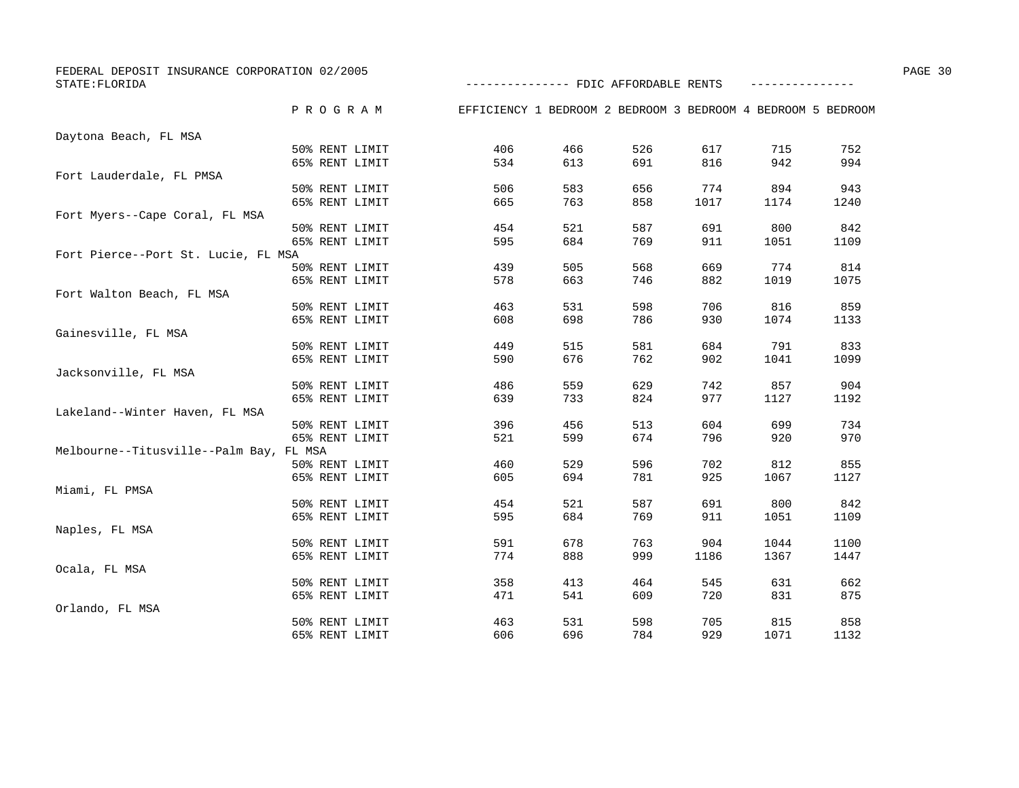| FEDERAL DEPOSIT INSURANCE CORPORATION 02/2005 |                |                                                              |     |     |      |      |      | PAGE 30 |
|-----------------------------------------------|----------------|--------------------------------------------------------------|-----|-----|------|------|------|---------|
| STATE: FLORIDA                                |                | -------------- FDIC AFFORDABLE RENTS                         |     |     |      |      |      |         |
|                                               | PROGRAM        | EFFICIENCY 1 BEDROOM 2 BEDROOM 3 BEDROOM 4 BEDROOM 5 BEDROOM |     |     |      |      |      |         |
| Daytona Beach, FL MSA                         |                |                                                              |     |     |      |      |      |         |
|                                               | 50% RENT LIMIT | 406                                                          | 466 | 526 | 617  | 715  | 752  |         |
|                                               | 65% RENT LIMIT | 534                                                          | 613 | 691 | 816  | 942  | 994  |         |
| Fort Lauderdale, FL PMSA                      |                |                                                              |     |     |      |      |      |         |
|                                               | 50% RENT LIMIT | 506                                                          | 583 | 656 | 774  | 894  | 943  |         |
|                                               | 65% RENT LIMIT | 665                                                          | 763 | 858 | 1017 | 1174 | 1240 |         |
| Fort Myers--Cape Coral, FL MSA                |                |                                                              |     |     |      |      |      |         |
|                                               | 50% RENT LIMIT | 454                                                          | 521 | 587 | 691  | 800  | 842  |         |
|                                               | 65% RENT LIMIT | 595                                                          | 684 | 769 | 911  | 1051 | 1109 |         |
| Fort Pierce--Port St. Lucie, FL MSA           |                |                                                              |     |     |      |      |      |         |
|                                               | 50% RENT LIMIT | 439                                                          | 505 | 568 | 669  | 774  | 814  |         |
|                                               | 65% RENT LIMIT | 578                                                          | 663 | 746 | 882  | 1019 | 1075 |         |
| Fort Walton Beach, FL MSA                     |                |                                                              |     |     |      |      |      |         |
|                                               | 50% RENT LIMIT | 463                                                          | 531 | 598 | 706  | 816  | 859  |         |
|                                               | 65% RENT LIMIT | 608                                                          | 698 | 786 | 930  | 1074 | 1133 |         |
| Gainesville, FL MSA                           |                |                                                              |     |     |      |      |      |         |
|                                               | 50% RENT LIMIT | 449                                                          | 515 | 581 | 684  | 791  | 833  |         |
|                                               | 65% RENT LIMIT | 590                                                          | 676 | 762 | 902  | 1041 | 1099 |         |
| Jacksonville, FL MSA                          |                |                                                              |     |     |      |      |      |         |
|                                               | 50% RENT LIMIT | 486                                                          | 559 | 629 | 742  | 857  | 904  |         |
|                                               | 65% RENT LIMIT | 639                                                          | 733 | 824 | 977  | 1127 | 1192 |         |
| Lakeland--Winter Haven, FL MSA                |                |                                                              |     |     |      |      |      |         |
|                                               | 50% RENT LIMIT | 396                                                          | 456 | 513 | 604  | 699  | 734  |         |
|                                               | 65% RENT LIMIT | 521                                                          | 599 | 674 | 796  | 920  | 970  |         |
| Melbourne--Titusville--Palm Bay, FL MSA       |                |                                                              |     |     |      |      |      |         |
|                                               | 50% RENT LIMIT | 460                                                          | 529 | 596 | 702  | 812  | 855  |         |
|                                               | 65% RENT LIMIT | 605                                                          | 694 | 781 | 925  | 1067 | 1127 |         |
| Miami, FL PMSA                                |                |                                                              |     |     |      |      |      |         |
|                                               | 50% RENT LIMIT | 454                                                          | 521 | 587 | 691  | 800  | 842  |         |
|                                               | 65% RENT LIMIT | 595                                                          | 684 | 769 | 911  | 1051 | 1109 |         |
| Naples, FL MSA                                |                |                                                              |     |     |      |      |      |         |
|                                               | 50% RENT LIMIT | 591                                                          | 678 | 763 | 904  | 1044 | 1100 |         |
|                                               | 65% RENT LIMIT | 774                                                          | 888 | 999 | 1186 | 1367 | 1447 |         |
| Ocala, FL MSA                                 |                |                                                              |     |     |      |      |      |         |
|                                               | 50% RENT LIMIT | 358                                                          | 413 | 464 | 545  | 631  | 662  |         |
|                                               | 65% RENT LIMIT | 471                                                          | 541 | 609 | 720  | 831  | 875  |         |
| Orlando, FL MSA                               |                |                                                              |     |     |      |      |      |         |
|                                               | 50% RENT LIMIT | 463                                                          | 531 | 598 | 705  | 815  | 858  |         |
|                                               | 65% RENT LIMIT | 606                                                          | 696 | 784 | 929  | 1071 | 1132 |         |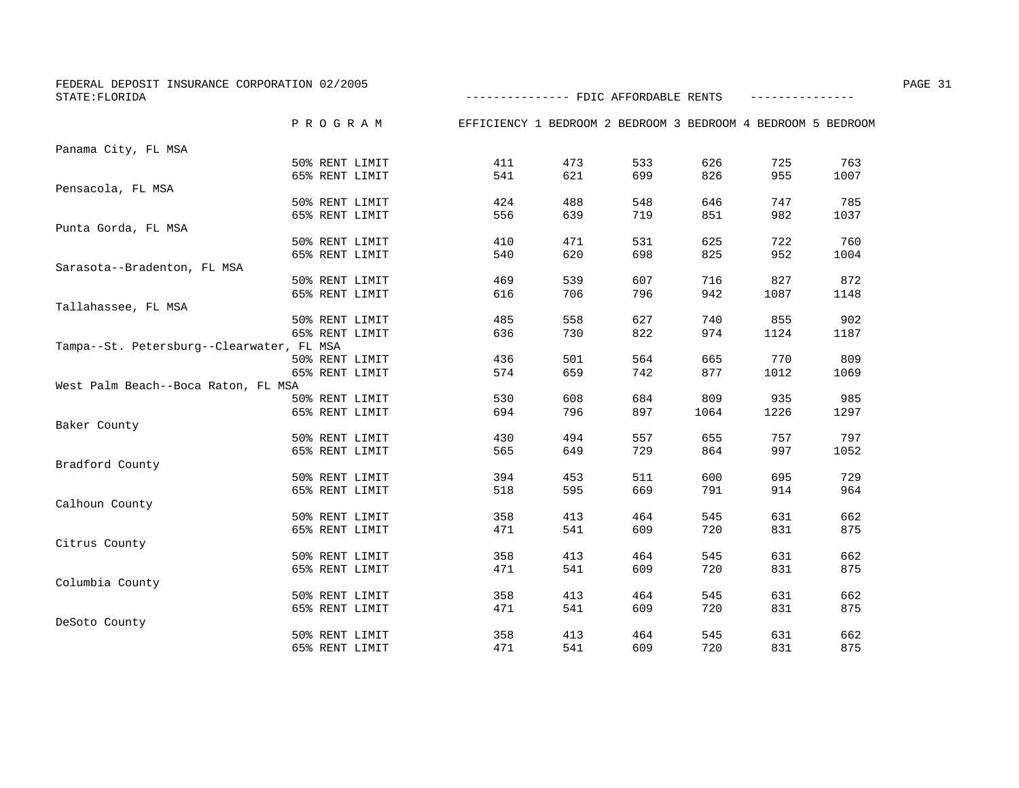| FEDERAL DEPOSIT INSURANCE CORPORATION 02/2005<br>STATE: FLORIDA |               |                | -------------- FDIC AFFORDABLE RENTS                         |     |     |      |      |      | PAGE 31 |
|-----------------------------------------------------------------|---------------|----------------|--------------------------------------------------------------|-----|-----|------|------|------|---------|
|                                                                 |               |                |                                                              |     |     |      |      |      |         |
|                                                                 | P R O G R A M |                | EFFICIENCY 1 BEDROOM 2 BEDROOM 3 BEDROOM 4 BEDROOM 5 BEDROOM |     |     |      |      |      |         |
| Panama City, FL MSA                                             |               |                |                                                              |     |     |      |      |      |         |
|                                                                 |               | 50% RENT LIMIT | 411                                                          | 473 | 533 | 626  | 725  | 763  |         |
|                                                                 |               | 65% RENT LIMIT | 541                                                          | 621 | 699 | 826  | 955  | 1007 |         |
| Pensacola, FL MSA                                               |               |                |                                                              |     |     |      |      |      |         |
|                                                                 |               | 50% RENT LIMIT | 424                                                          | 488 | 548 | 646  | 747  | 785  |         |
|                                                                 |               | 65% RENT LIMIT | 556                                                          | 639 | 719 | 851  | 982  | 1037 |         |
| Punta Gorda, FL MSA                                             |               |                |                                                              |     |     |      |      |      |         |
|                                                                 |               | 50% RENT LIMIT | 410                                                          | 471 | 531 | 625  | 722  | 760  |         |
|                                                                 |               | 65% RENT LIMIT | 540                                                          | 620 | 698 | 825  | 952  | 1004 |         |
| Sarasota--Bradenton, FL MSA                                     |               |                |                                                              |     |     |      |      |      |         |
|                                                                 |               | 50% RENT LIMIT | 469                                                          | 539 | 607 | 716  | 827  | 872  |         |
|                                                                 |               | 65% RENT LIMIT | 616                                                          | 706 | 796 | 942  | 1087 | 1148 |         |
| Tallahassee, FL MSA                                             |               |                |                                                              |     |     |      |      |      |         |
|                                                                 |               | 50% RENT LIMIT | 485                                                          | 558 | 627 | 740  | 855  | 902  |         |
|                                                                 |               | 65% RENT LIMIT | 636                                                          | 730 | 822 | 974  | 1124 | 1187 |         |
| Tampa--St. Petersburg--Clearwater, FL MSA                       |               |                |                                                              |     |     |      |      |      |         |
|                                                                 |               | 50% RENT LIMIT | 436                                                          | 501 | 564 | 665  | 770  | 809  |         |
|                                                                 |               | 65% RENT LIMIT | 574                                                          | 659 | 742 | 877  | 1012 | 1069 |         |
| West Palm Beach--Boca Raton, FL MSA                             |               |                |                                                              |     |     |      |      |      |         |
|                                                                 |               | 50% RENT LIMIT | 530                                                          | 608 | 684 | 809  | 935  | 985  |         |
|                                                                 |               | 65% RENT LIMIT | 694                                                          | 796 | 897 | 1064 | 1226 | 1297 |         |
| Baker County                                                    |               |                |                                                              |     |     |      |      |      |         |
|                                                                 |               | 50% RENT LIMIT | 430                                                          | 494 | 557 | 655  | 757  | 797  |         |
|                                                                 |               | 65% RENT LIMIT | 565                                                          | 649 | 729 | 864  | 997  | 1052 |         |
| Bradford County                                                 |               |                |                                                              |     |     |      |      |      |         |
|                                                                 |               | 50% RENT LIMIT | 394                                                          | 453 | 511 | 600  | 695  | 729  |         |
|                                                                 |               | 65% RENT LIMIT | 518                                                          | 595 | 669 | 791  | 914  | 964  |         |
| Calhoun County                                                  |               |                |                                                              |     |     |      |      |      |         |
|                                                                 |               | 50% RENT LIMIT | 358                                                          | 413 | 464 | 545  | 631  | 662  |         |
|                                                                 |               | 65% RENT LIMIT | 471                                                          | 541 | 609 | 720  | 831  | 875  |         |
| Citrus County                                                   |               |                |                                                              |     |     |      |      |      |         |
|                                                                 |               | 50% RENT LIMIT | 358                                                          | 413 | 464 | 545  | 631  | 662  |         |
|                                                                 |               | 65% RENT LIMIT | 471                                                          | 541 | 609 | 720  | 831  | 875  |         |
| Columbia County                                                 |               |                |                                                              |     |     |      |      |      |         |
|                                                                 |               | 50% RENT LIMIT | 358                                                          | 413 | 464 | 545  | 631  | 662  |         |
|                                                                 |               | 65% RENT LIMIT | 471                                                          | 541 | 609 | 720  | 831  | 875  |         |
| DeSoto County                                                   |               |                |                                                              |     |     |      |      |      |         |
|                                                                 |               | 50% RENT LIMIT | 358                                                          | 413 | 464 | 545  | 631  | 662  |         |
|                                                                 |               | 65% RENT LIMIT | 471                                                          | 541 | 609 | 720  | 831  | 875  |         |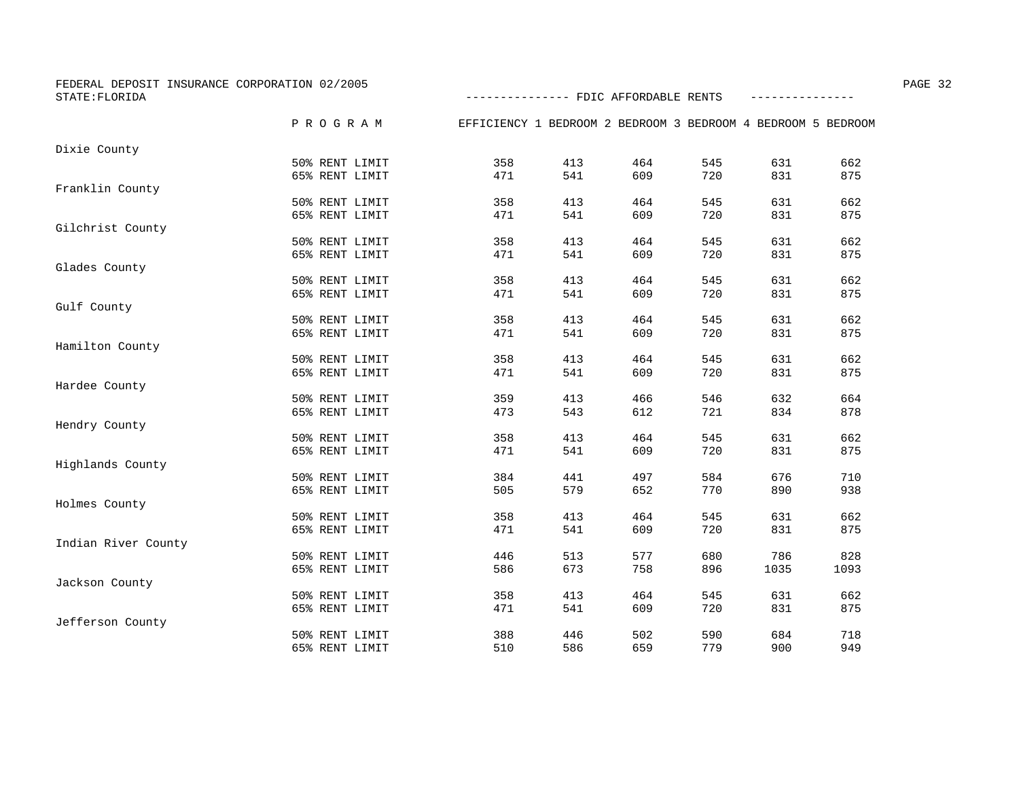| FEDERAL DEPOSIT INSURANCE CORPORATION 02/2005<br>STATE: FLORIDA |                |                                                              | -------------- FDIC AFFORDABLE RENTS |     |     |      |      |  |
|-----------------------------------------------------------------|----------------|--------------------------------------------------------------|--------------------------------------|-----|-----|------|------|--|
|                                                                 |                |                                                              |                                      |     |     |      |      |  |
|                                                                 | PROGRAM        | EFFICIENCY 1 BEDROOM 2 BEDROOM 3 BEDROOM 4 BEDROOM 5 BEDROOM |                                      |     |     |      |      |  |
| Dixie County                                                    |                |                                                              |                                      |     |     |      |      |  |
|                                                                 | 50% RENT LIMIT | 358                                                          | 413                                  | 464 | 545 | 631  | 662  |  |
|                                                                 | 65% RENT LIMIT | 471                                                          | 541                                  | 609 | 720 | 831  | 875  |  |
| Franklin County                                                 |                |                                                              |                                      |     |     |      |      |  |
|                                                                 | 50% RENT LIMIT | 358                                                          | 413                                  | 464 | 545 | 631  | 662  |  |
|                                                                 | 65% RENT LIMIT | 471                                                          | 541                                  | 609 | 720 | 831  | 875  |  |
| Gilchrist County                                                |                |                                                              |                                      |     |     |      |      |  |
|                                                                 | 50% RENT LIMIT | 358                                                          | 413                                  | 464 | 545 | 631  | 662  |  |
|                                                                 | 65% RENT LIMIT | 471                                                          | 541                                  | 609 | 720 | 831  | 875  |  |
| Glades County                                                   |                |                                                              |                                      |     |     |      |      |  |
|                                                                 | 50% RENT LIMIT | 358                                                          | 413                                  | 464 | 545 | 631  | 662  |  |
|                                                                 | 65% RENT LIMIT | 471                                                          | 541                                  | 609 | 720 | 831  | 875  |  |
| Gulf County                                                     |                |                                                              |                                      |     |     |      |      |  |
|                                                                 | 50% RENT LIMIT | 358                                                          | 413                                  | 464 | 545 | 631  | 662  |  |
|                                                                 | 65% RENT LIMIT | 471                                                          | 541                                  | 609 | 720 | 831  | 875  |  |
| Hamilton County                                                 |                |                                                              |                                      |     |     |      |      |  |
|                                                                 | 50% RENT LIMIT | 358                                                          | 413                                  | 464 | 545 | 631  | 662  |  |
|                                                                 | 65% RENT LIMIT | 471                                                          | 541                                  | 609 | 720 | 831  | 875  |  |
| Hardee County                                                   |                |                                                              |                                      |     |     |      |      |  |
|                                                                 | 50% RENT LIMIT | 359                                                          | 413                                  | 466 | 546 | 632  | 664  |  |
|                                                                 | 65% RENT LIMIT | 473                                                          | 543                                  | 612 | 721 | 834  | 878  |  |
| Hendry County                                                   |                |                                                              |                                      |     |     |      |      |  |
|                                                                 | 50% RENT LIMIT | 358                                                          | 413                                  | 464 | 545 | 631  | 662  |  |
|                                                                 | 65% RENT LIMIT | 471                                                          | 541                                  | 609 | 720 | 831  | 875  |  |
| Highlands County                                                |                |                                                              |                                      |     |     |      |      |  |
|                                                                 | 50% RENT LIMIT | 384                                                          | 441                                  | 497 | 584 | 676  | 710  |  |
|                                                                 | 65% RENT LIMIT | 505                                                          | 579                                  | 652 | 770 | 890  | 938  |  |
| Holmes County                                                   |                |                                                              |                                      |     |     |      |      |  |
|                                                                 | 50% RENT LIMIT | 358                                                          | 413                                  | 464 | 545 | 631  | 662  |  |
|                                                                 | 65% RENT LIMIT | 471                                                          | 541                                  | 609 | 720 | 831  | 875  |  |
| Indian River County                                             |                |                                                              |                                      |     |     |      |      |  |
|                                                                 | 50% RENT LIMIT | 446                                                          | 513                                  | 577 | 680 | 786  | 828  |  |
|                                                                 | 65% RENT LIMIT | 586                                                          | 673                                  | 758 | 896 | 1035 | 1093 |  |
| Jackson County                                                  |                |                                                              |                                      |     |     |      |      |  |
|                                                                 | 50% RENT LIMIT | 358                                                          | 413                                  | 464 | 545 | 631  | 662  |  |
|                                                                 | 65% RENT LIMIT | 471                                                          | 541                                  | 609 | 720 | 831  | 875  |  |
| Jefferson County                                                |                |                                                              |                                      |     |     |      |      |  |
|                                                                 | 50% RENT LIMIT | 388                                                          | 446                                  | 502 | 590 | 684  | 718  |  |
|                                                                 | 65% RENT LIMIT | 510                                                          | 586                                  | 659 | 779 | 900  | 949  |  |
|                                                                 |                |                                                              |                                      |     |     |      |      |  |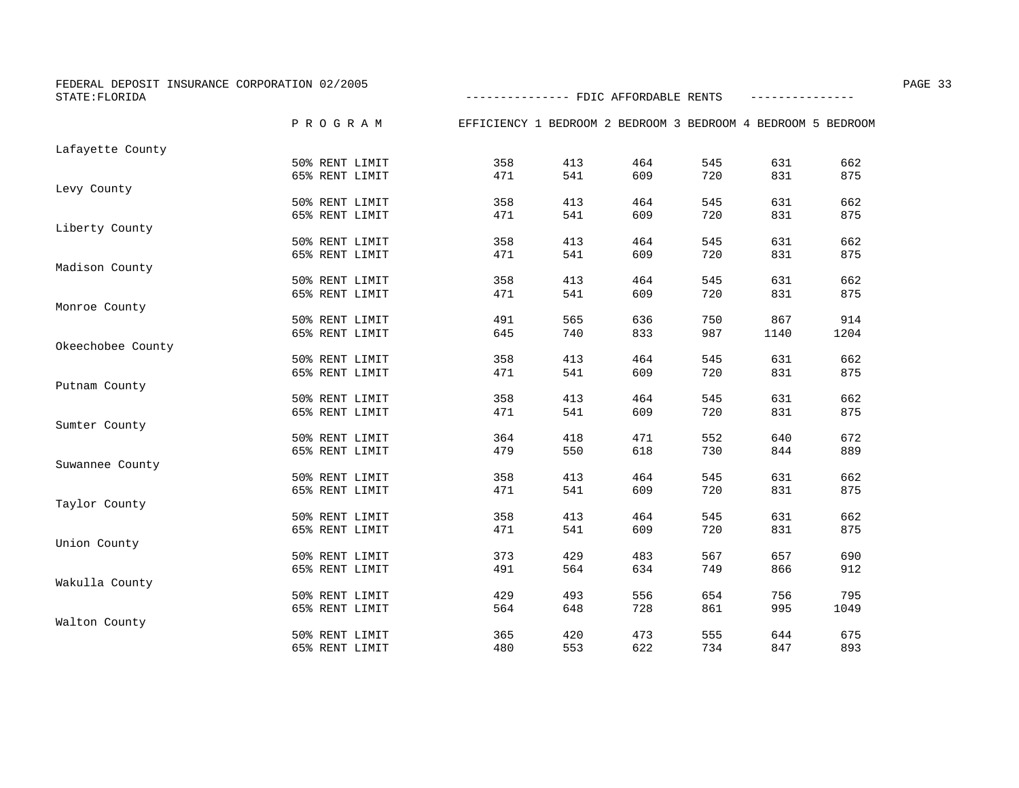| FEDERAL DEPOSIT INSURANCE CORPORATION 02/2005<br>STATE: FLORIDA |                |                                                              | -------------- FDIC AFFORDABLE RENTS |     |     |      |      |  |
|-----------------------------------------------------------------|----------------|--------------------------------------------------------------|--------------------------------------|-----|-----|------|------|--|
|                                                                 |                |                                                              |                                      |     |     |      |      |  |
|                                                                 | P R O G R A M  | EFFICIENCY 1 BEDROOM 2 BEDROOM 3 BEDROOM 4 BEDROOM 5 BEDROOM |                                      |     |     |      |      |  |
| Lafayette County                                                |                |                                                              |                                      |     |     |      |      |  |
|                                                                 | 50% RENT LIMIT | 358                                                          | 413                                  | 464 | 545 | 631  | 662  |  |
|                                                                 | 65% RENT LIMIT | 471                                                          | 541                                  | 609 | 720 | 831  | 875  |  |
| Levy County                                                     |                |                                                              |                                      |     |     |      |      |  |
|                                                                 | 50% RENT LIMIT | 358                                                          | 413                                  | 464 | 545 | 631  | 662  |  |
|                                                                 | 65% RENT LIMIT | 471                                                          | 541                                  | 609 | 720 | 831  | 875  |  |
| Liberty County                                                  |                |                                                              |                                      |     |     |      |      |  |
|                                                                 | 50% RENT LIMIT | 358                                                          | 413                                  | 464 | 545 | 631  | 662  |  |
|                                                                 | 65% RENT LIMIT | 471                                                          | 541                                  | 609 | 720 | 831  | 875  |  |
| Madison County                                                  |                |                                                              |                                      |     |     |      |      |  |
|                                                                 | 50% RENT LIMIT | 358                                                          | 413                                  | 464 | 545 | 631  | 662  |  |
|                                                                 | 65% RENT LIMIT | 471                                                          | 541                                  | 609 | 720 | 831  | 875  |  |
| Monroe County                                                   |                |                                                              |                                      |     |     |      |      |  |
|                                                                 | 50% RENT LIMIT | 491                                                          | 565                                  | 636 | 750 | 867  | 914  |  |
|                                                                 | 65% RENT LIMIT | 645                                                          | 740                                  | 833 | 987 | 1140 | 1204 |  |
| Okeechobee County                                               |                |                                                              |                                      |     |     |      |      |  |
|                                                                 | 50% RENT LIMIT | 358                                                          | 413                                  | 464 | 545 | 631  | 662  |  |
|                                                                 | 65% RENT LIMIT | 471                                                          | 541                                  | 609 | 720 | 831  | 875  |  |
| Putnam County                                                   |                |                                                              |                                      |     |     |      |      |  |
|                                                                 | 50% RENT LIMIT | 358                                                          | 413                                  | 464 | 545 | 631  | 662  |  |
|                                                                 | 65% RENT LIMIT | 471                                                          | 541                                  | 609 | 720 | 831  | 875  |  |
| Sumter County                                                   |                |                                                              |                                      |     |     |      |      |  |
|                                                                 | 50% RENT LIMIT | 364                                                          | 418                                  | 471 | 552 | 640  | 672  |  |
|                                                                 | 65% RENT LIMIT | 479                                                          | 550                                  | 618 | 730 | 844  | 889  |  |
| Suwannee County                                                 |                |                                                              |                                      |     |     |      |      |  |
|                                                                 | 50% RENT LIMIT | 358                                                          | 413                                  | 464 | 545 | 631  | 662  |  |
|                                                                 | 65% RENT LIMIT | 471                                                          | 541                                  | 609 | 720 | 831  | 875  |  |
| Taylor County                                                   |                |                                                              |                                      |     |     |      |      |  |
|                                                                 | 50% RENT LIMIT | 358                                                          | 413                                  | 464 | 545 | 631  | 662  |  |
|                                                                 | 65% RENT LIMIT | 471                                                          | 541                                  | 609 | 720 | 831  | 875  |  |
| Union County                                                    |                |                                                              |                                      |     |     |      |      |  |
|                                                                 | 50% RENT LIMIT | 373                                                          | 429                                  | 483 | 567 | 657  | 690  |  |
|                                                                 | 65% RENT LIMIT | 491                                                          | 564                                  | 634 | 749 | 866  | 912  |  |
| Wakulla County                                                  |                |                                                              |                                      |     |     |      |      |  |
|                                                                 | 50% RENT LIMIT | 429                                                          | 493                                  | 556 | 654 | 756  | 795  |  |
|                                                                 | 65% RENT LIMIT | 564                                                          | 648                                  | 728 | 861 | 995  | 1049 |  |
| Walton County                                                   |                |                                                              |                                      |     |     |      |      |  |
|                                                                 | 50% RENT LIMIT | 365                                                          | 420                                  | 473 | 555 | 644  | 675  |  |
|                                                                 | 65% RENT LIMIT | 480                                                          | 553                                  | 622 | 734 | 847  | 893  |  |
|                                                                 |                |                                                              |                                      |     |     |      |      |  |